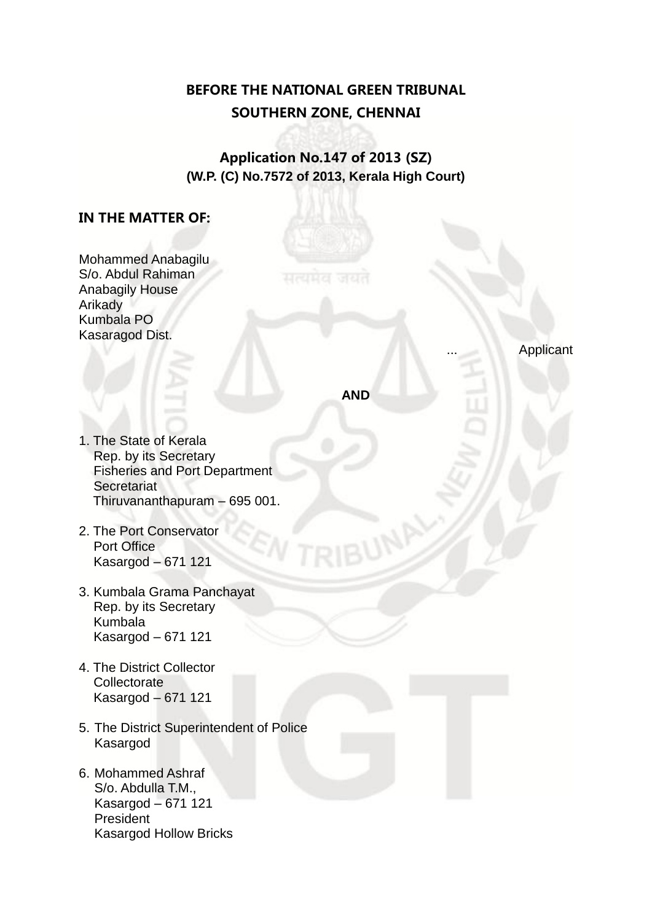## **BEFORE THE NATIONAL GREEN TRIBUNAL SOUTHERN ZONE, CHENNAI**

**Application No.147 of 2013 (SZ) (W.P. (C) No.7572 of 2013, Kerala High Court)**

## **IN THE MATTER OF:**

| Mohammed Anabagilu |
|--------------------|
| S/o. Abdul Rahiman |
| Anabagily House    |
| Arikady            |
| Kumbala PO         |
| Kasaragod Dist.    |
|                    |

**Applicant** 

**AND** 

- 1. The State of Kerala Rep. by its Secretary Fisheries and Port Department **Secretariat** Thiruvananthapuram – 695 001.
- 2. The Port Conservator Port Office Kasargod – 671 121
- 3. Kumbala Grama Panchayat Rep. by its Secretary Kumbala Kasargod – 671 121
- 4. The District Collector **Collectorate** Kasargod – 671 121
- 5. The District Superintendent of Police Kasargod
- 6. Mohammed Ashraf S/o. Abdulla T.M., Kasargod – 671 121 President Kasargod Hollow Bricks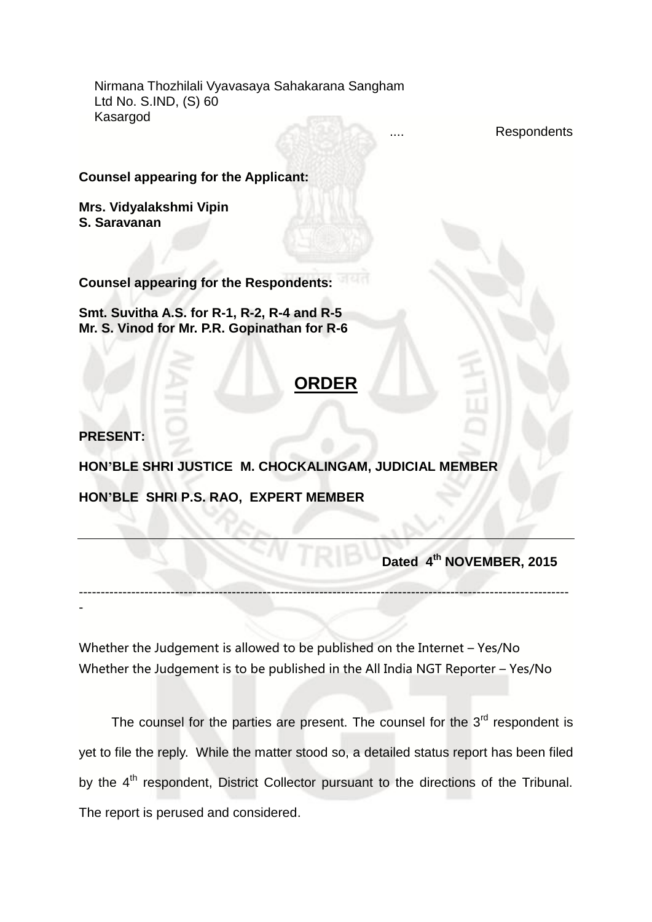Nirmana Thozhilali Vyavasaya Sahakarana Sangham Ltd No. S.IND, (S) 60 Kasargod

Respondents

**Counsel appearing for the Applicant:**

**Mrs. Vidyalakshmi Vipin S. Saravanan**

**Counsel appearing for the Respondents:** 

**Smt. Suvitha A.S. for R-1, R-2, R-4 and R-5 Mr. S. Vinod for Mr. P.R. Gopinathan for R-6**

## **ORDER**

**PRESENT:**

-

**HON'BLE SHRI JUSTICE M. CHOCKALINGAM, JUDICIAL MEMBER**

**HON'BLE SHRI P.S. RAO, EXPERT MEMBER**

**Dated 4<sup>th</sup> NOVEMBER, 2015** 

Whether the Judgement is allowed to be published on the Internet – Yes/No Whether the Judgement is to be published in the All India NGT Reporter – Yes/No

----------------------------------------------------------------------------------------------------------------

The counsel for the parties are present. The counsel for the  $3<sup>rd</sup>$  respondent is yet to file the reply. While the matter stood so, a detailed status report has been filed by the 4<sup>th</sup> respondent, District Collector pursuant to the directions of the Tribunal. The report is perused and considered.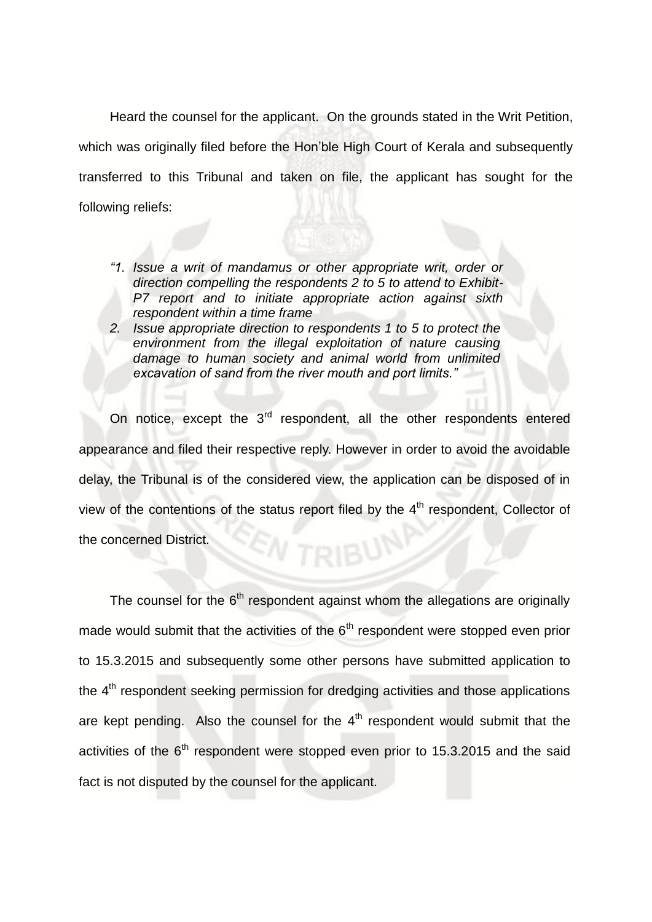Heard the counsel for the applicant. On the grounds stated in the Writ Petition, which was originally filed before the Hon'ble High Court of Kerala and subsequently transferred to this Tribunal and taken on file, the applicant has sought for the following reliefs:

- *"1. Issue a writ of mandamus or other appropriate writ, order or direction compelling the respondents 2 to 5 to attend to Exhibit-P7 report and to initiate appropriate action against sixth respondent within a time frame*
- *2. Issue appropriate direction to respondents 1 to 5 to protect the environment from the illegal exploitation of nature causing damage to human society and animal world from unlimited excavation of sand from the river mouth and port limits."*

On notice, except the 3<sup>rd</sup> respondent, all the other respondents entered appearance and filed their respective reply. However in order to avoid the avoidable delay, the Tribunal is of the considered view, the application can be disposed of in view of the contentions of the status report filed by the  $4<sup>th</sup>$  respondent. Collector of the concerned District. TRIBU

The counsel for the  $6<sup>th</sup>$  respondent against whom the allegations are originally made would submit that the activities of the  $6<sup>th</sup>$  respondent were stopped even prior to 15.3.2015 and subsequently some other persons have submitted application to the  $4<sup>th</sup>$  respondent seeking permission for dredging activities and those applications are kept pending. Also the counsel for the  $4<sup>th</sup>$  respondent would submit that the activities of the  $6<sup>th</sup>$  respondent were stopped even prior to 15.3.2015 and the said fact is not disputed by the counsel for the applicant.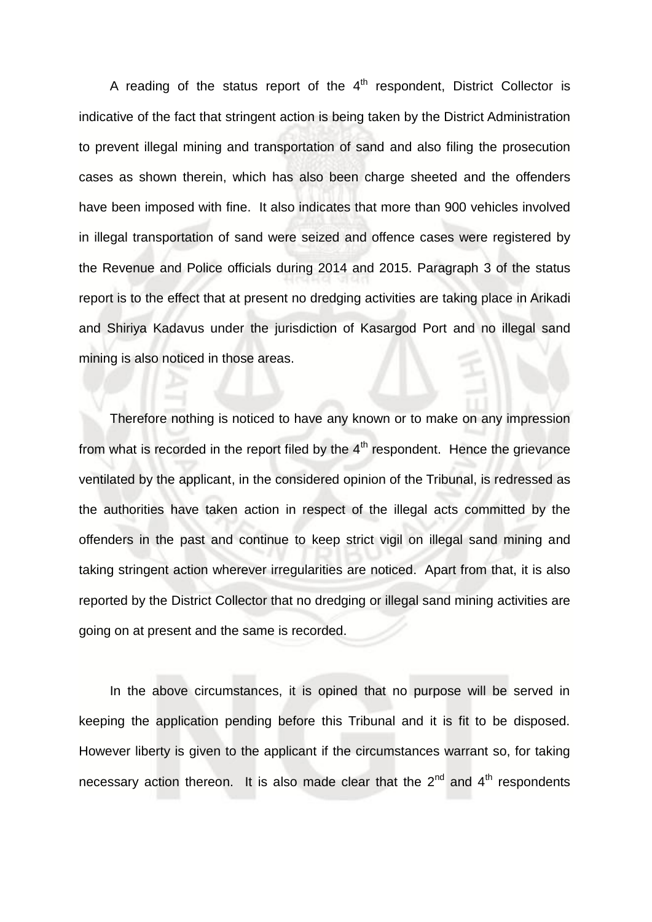A reading of the status report of the  $4<sup>th</sup>$  respondent, District Collector is indicative of the fact that stringent action is being taken by the District Administration to prevent illegal mining and transportation of sand and also filing the prosecution cases as shown therein, which has also been charge sheeted and the offenders have been imposed with fine. It also indicates that more than 900 vehicles involved in illegal transportation of sand were seized and offence cases were registered by the Revenue and Police officials during 2014 and 2015. Paragraph 3 of the status report is to the effect that at present no dredging activities are taking place in Arikadi and Shiriya Kadavus under the jurisdiction of Kasargod Port and no illegal sand mining is also noticed in those areas.

Therefore nothing is noticed to have any known or to make on any impression from what is recorded in the report filed by the  $4<sup>th</sup>$  respondent. Hence the grievance ventilated by the applicant, in the considered opinion of the Tribunal, is redressed as the authorities have taken action in respect of the illegal acts committed by the offenders in the past and continue to keep strict vigil on illegal sand mining and taking stringent action wherever irregularities are noticed. Apart from that, it is also reported by the District Collector that no dredging or illegal sand mining activities are going on at present and the same is recorded.

In the above circumstances, it is opined that no purpose will be served in keeping the application pending before this Tribunal and it is fit to be disposed. However liberty is given to the applicant if the circumstances warrant so, for taking necessary action thereon. It is also made clear that the  $2^{nd}$  and  $4^{th}$  respondents